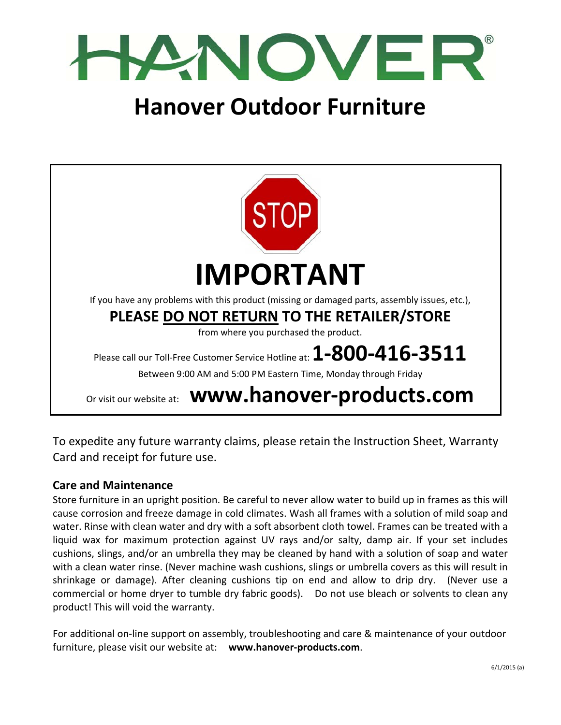

# **Hanover Outdoor Furniture**



To expedite any future warranty claims, please retain the Instruction Sheet, Warranty Card and receipt for future use.

#### **Care and Maintenance**

Store furniture in an upright position. Be careful to never allow water to build up in frames as this will cause corrosion and freeze damage in cold climates. Wash all frames with a solution of mild soap and water. Rinse with clean water and dry with a soft absorbent cloth towel. Frames can be treated with a liquid wax for maximum protection against UV rays and/or salty, damp air. If your set includes cushions, slings, and/or an umbrella they may be cleaned by hand with a solution of soap and water with a clean water rinse. (Never machine wash cushions, slings or umbrella covers as this will result in shrinkage or damage). After cleaning cushions tip on end and allow to drip dry. (Never use a commercial or home dryer to tumble dry fabric goods). Do not use bleach or solvents to clean any product! This will void the warranty.

For additional on-line support on assembly, troubleshooting and care & maintenance of your outdoor furniture, please visit our website at: **www.hanover‐products.com**.